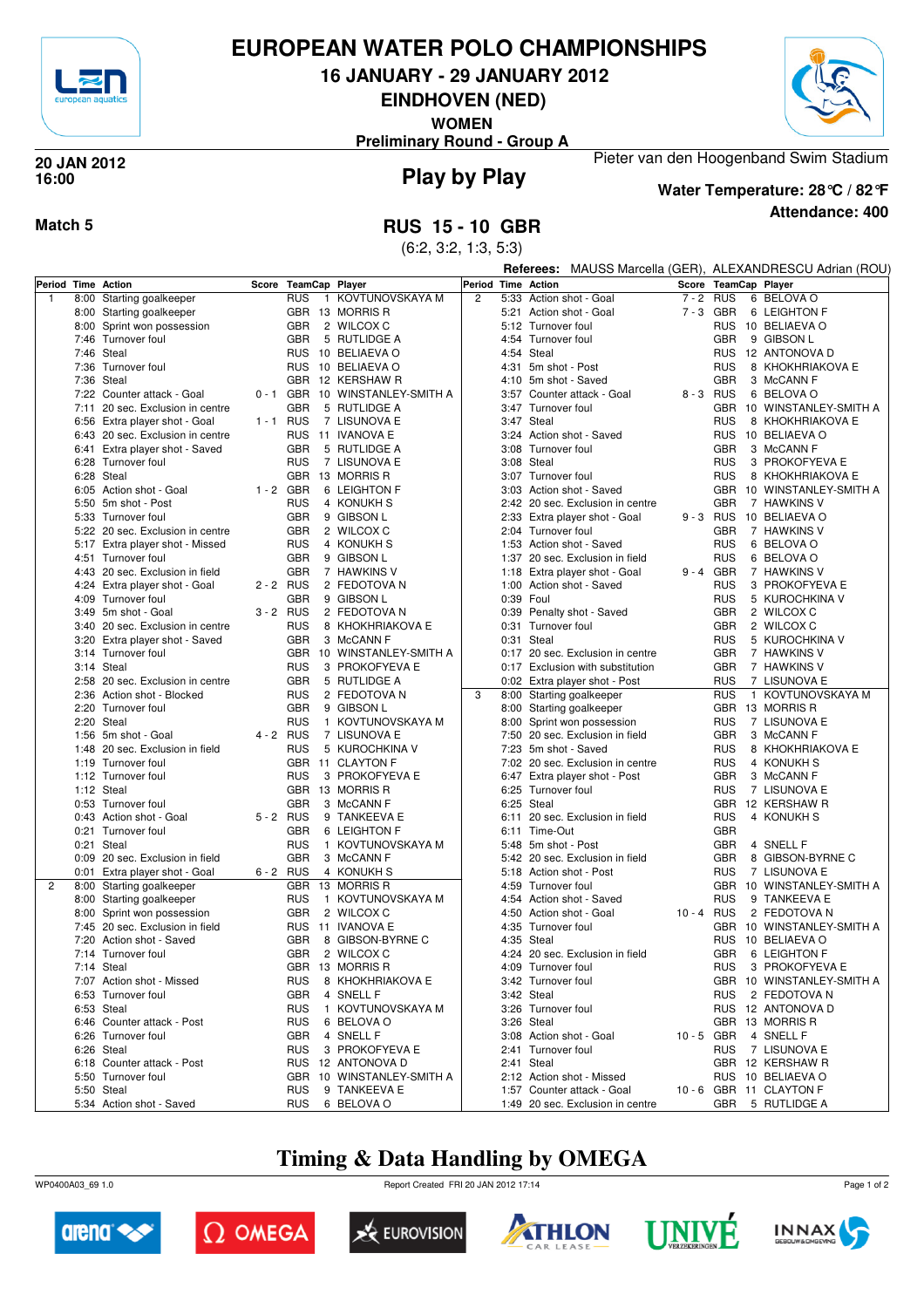

# **EUROPEAN WATER POLO CHAMPIONSHIPS**

**16 JANUARY - 29 JANUARY 2012**

**EINDHOVEN (NED)**

**WOMEN**

**Preliminary Round - Group A**



#### **Play by Play 20 JAN 2012 16:00**



**Water Temperature: 28°C / 82°F**

**Attendance: 400**

Pieter van den Hoogenband Swim Stadium

**Match 5 RUS 15 - 10 GBR**

(6:2, 3:2, 1:3, 5:3)

|                    |                                               |             |            |                                 |                |           |                                  |                                  |                      |             |              | Referees: MAUSS Marcella (GER), ALEXANDRESCU Adrian (ROU) |
|--------------------|-----------------------------------------------|-------------|------------|---------------------------------|----------------|-----------|----------------------------------|----------------------------------|----------------------|-------------|--------------|-----------------------------------------------------------|
| Period Time Action |                                               | Score       |            | <b>TeamCap Player</b>           |                |           | Period Time Action               |                                  | Score TeamCap Player |             |              |                                                           |
| $\overline{1}$     | 8:00 Starting goalkeeper                      |             | <b>RUS</b> | KOVTUNOVSKAYA M<br>$\mathbf{1}$ | $\overline{2}$ |           |                                  | 5:33 Action shot - Goal          | $7 - 2$              | RUS         |              | 6 BELOVA O                                                |
|                    | 8:00 Starting goalkeeper                      |             |            | GBR 13 MORRIS R                 |                |           |                                  | 5:21 Action shot - Goal          |                      | 7-3 GBR     |              | 6 LEIGHTON F                                              |
|                    | 8:00 Sprint won possession                    |             | <b>GBR</b> | 2 WILCOX C                      |                |           | 5:12 Turnover foul               |                                  |                      |             |              | RUS 10 BELIAEVA O                                         |
|                    | 7:46 Turnover foul                            |             | <b>GBR</b> | 5 RUTLIDGE A                    |                |           | 4:54 Turnover foul               |                                  |                      | <b>GBR</b>  |              | 9 GIBSON L                                                |
|                    | 7:46 Steal                                    |             |            | RUS 10 BELIAEVA O               |                |           | 4:54 Steal                       |                                  |                      |             |              | RUS 12 ANTONOVA D                                         |
|                    | 7:36 Turnover foul                            |             | <b>RUS</b> | 10 BELIAEVA O                   |                | 4:31      | 5m shot - Post                   |                                  |                      | <b>RUS</b>  |              | 8 KHOKHRIAKOVA E                                          |
|                    | 7:36 Steal                                    |             | <b>GBR</b> | 12 KERSHAW R                    |                |           | 4:10 5m shot - Saved             |                                  |                      | <b>GBR</b>  |              | 3 McCANN F                                                |
|                    | 7:22 Counter attack - Goal                    | $0 - 1$ GBR |            | 10 WINSTANLEY-SMITH A           |                |           |                                  | 3:57 Counter attack - Goal       |                      | 8-3 RUS     |              | 6 BELOVA O                                                |
|                    | 7:11 20 sec. Exclusion in centre              |             | <b>GBR</b> | 5 RUTLIDGE A                    |                |           | 3:47 Turnover foul               |                                  |                      |             |              | GBR 10 WINSTANLEY-SMITH A                                 |
|                    | 6:56 Extra player shot - Goal                 | 1-1 RUS     |            | 7 LISUNOVA E                    |                |           | 3:47 Steal                       |                                  |                      | <b>RUS</b>  |              | 8 KHOKHRIAKOVA E                                          |
|                    | 6:43 20 sec. Exclusion in centre              |             | <b>RUS</b> | 11 IVANOVA E                    |                |           |                                  | 3:24 Action shot - Saved         |                      |             |              | RUS 10 BELIAEVA O                                         |
|                    | 6:41 Extra player shot - Saved                |             | <b>GBR</b> | 5 RUTLIDGE A                    |                |           | 3:08 Turnover foul               |                                  |                      | <b>GBR</b>  |              | 3 McCANN F                                                |
|                    | 6:28 Turnover foul                            |             | <b>RUS</b> | 7 LISUNOVA E                    |                |           | 3:08 Steal                       |                                  |                      | <b>RUS</b>  |              | 3 PROKOFYEVA E                                            |
|                    | 6:28 Steal                                    |             | <b>GBR</b> | 13 MORRIS R                     |                |           | 3:07 Turnover foul               |                                  |                      | <b>RUS</b>  |              | 8 KHOKHRIAKOVA E                                          |
|                    | 6:05 Action shot - Goal                       | $1 - 2$ GBR |            | 6 LEIGHTON F                    |                |           |                                  | 3:03 Action shot - Saved         |                      |             |              | GBR 10 WINSTANLEY-SMITH A                                 |
|                    | 5:50 5m shot - Post                           |             | <b>RUS</b> | 4 KONUKH S                      |                |           |                                  | 2:42 20 sec. Exclusion in centre |                      | <b>GBR</b>  |              | 7 HAWKINS V                                               |
|                    | 5:33 Turnover foul                            |             | <b>GBR</b> | 9 GIBSON L                      |                |           |                                  | 2:33 Extra player shot - Goal    |                      |             |              | 9 - 3 RUS 10 BELIAEVA O                                   |
|                    | 5:22 20 sec. Exclusion in centre              |             | <b>GBR</b> | 2 WILCOX C                      |                |           | 2:04 Turnover foul               |                                  |                      | <b>GBR</b>  |              | 7 HAWKINS V                                               |
|                    | 5:17 Extra player shot - Missed               |             | <b>RUS</b> | 4 KONUKH S                      |                |           |                                  | 1:53 Action shot - Saved         |                      | <b>RUS</b>  |              | 6 BELOVA O                                                |
|                    | 4:51 Turnover foul                            |             | <b>GBR</b> | 9 GIBSON L                      |                |           |                                  | 1:37 20 sec. Exclusion in field  |                      | <b>RUS</b>  |              | 6 BELOVA O                                                |
|                    | 4:43 20 sec. Exclusion in field               |             | <b>GBR</b> | 7 HAWKINS V                     |                |           |                                  | 1:18 Extra player shot - Goal    |                      | $9 - 4$ GBR |              | 7 HAWKINS V                                               |
|                    | 4:24 Extra player shot - Goal                 | $2 - 2$ RUS |            | 2 FEDOTOVA N                    |                |           |                                  | 1:00 Action shot - Saved         |                      | <b>RUS</b>  |              | 3 PROKOFYEVA E                                            |
|                    | 4:09 Turnover foul                            |             | <b>GBR</b> | 9 GIBSON L                      |                | 0:39 Foul |                                  |                                  |                      | <b>RUS</b>  |              | 5 KUROCHKINA V                                            |
|                    | 3:49 5m shot - Goal                           | $3 - 2$ RUS |            | 2 FEDOTOVA N                    |                |           |                                  | 0:39 Penalty shot - Saved        |                      | <b>GBR</b>  |              | 2 WILCOX C                                                |
|                    | 3:40 20 sec. Exclusion in centre              |             | <b>RUS</b> | 8 KHOKHRIAKOVA E                |                |           | 0:31 Turnover foul               |                                  |                      | <b>GBR</b>  |              | 2 WILCOX C                                                |
|                    | 3:20 Extra player shot - Saved                |             | <b>GBR</b> | 3 McCANN F                      |                |           | 0:31 Steal                       |                                  |                      | <b>RUS</b>  |              | 5 KUROCHKINA V                                            |
|                    | 3:14 Turnover foul                            |             |            | GBR 10 WINSTANLEY-SMITH A       |                |           |                                  | 0:17 20 sec. Exclusion in centre |                      | <b>GBR</b>  |              | 7 HAWKINS V                                               |
|                    | 3:14 Steal                                    |             | <b>RUS</b> | 3 PROKOFYEVA E                  |                |           |                                  | 0:17 Exclusion with substitution |                      | <b>GBR</b>  |              | 7 HAWKINS V                                               |
|                    | 2:58 20 sec. Exclusion in centre              |             | <b>GBR</b> | 5 RUTLIDGE A                    |                |           |                                  | 0:02 Extra player shot - Post    |                      | <b>RUS</b>  |              | 7 LISUNOVA E                                              |
|                    | 2:36 Action shot - Blocked                    |             | <b>RUS</b> | 2 FEDOTOVA N                    | 3              |           |                                  | 8:00 Starting goalkeeper         |                      | <b>RUS</b>  | $\mathbf{1}$ | KOVTUNOVSKAYA M                                           |
|                    | 2:20 Turnover foul                            |             | <b>GBR</b> | 9 GIBSON L                      |                |           |                                  | 8:00 Starting goalkeeper         |                      |             |              | GBR 13 MORRIS R                                           |
|                    | 2:20 Steal                                    |             | <b>RUS</b> | 1 KOVTUNOVSKAYA M               |                |           |                                  | 8:00 Sprint won possession       |                      | RUS         |              | 7 LISUNOVA E                                              |
|                    | 1:56 5m shot - Goal                           | 4 - 2 RUS   |            | 7 LISUNOVA E                    |                |           |                                  | 7:50 20 sec. Exclusion in field  |                      | GBR         |              | 3 McCANN F                                                |
|                    | 1:48 20 sec. Exclusion in field               |             | <b>RUS</b> | 5 KUROCHKINA V                  |                |           | 7:23 5m shot - Saved             |                                  |                      | RUS         |              | 8 KHOKHRIAKOVA E                                          |
|                    | 1:19 Turnover foul                            |             |            | GBR 11 CLAYTON F                |                |           |                                  | 7:02 20 sec. Exclusion in centre |                      | <b>RUS</b>  |              | 4 KONUKH S                                                |
|                    | 1:12 Turnover foul                            |             | <b>RUS</b> | 3 PROKOFYEVA E                  |                |           |                                  | 6:47 Extra player shot - Post    |                      | <b>GBR</b>  |              | 3 McCANN F                                                |
|                    | 1:12 Steal                                    |             |            | GBR 13 MORRIS R                 |                |           | 6:25 Turnover foul<br>6:25 Steal |                                  |                      | <b>RUS</b>  |              | 7 LISUNOVA E                                              |
|                    | 0:53 Turnover foul<br>0:43 Action shot - Goal | 5-2 RUS     | <b>GBR</b> | 3 McCANN F<br>9 TANKEEVA E      |                |           |                                  | 6:11 20 sec. Exclusion in field  |                      | <b>RUS</b>  |              | GBR 12 KERSHAW R<br>4 KONUKH S                            |
|                    | 0:21 Turnover foul                            |             | <b>GBR</b> | 6 LEIGHTON F                    |                |           | 6:11 Time-Out                    |                                  |                      | <b>GBR</b>  |              |                                                           |
|                    | 0:21 Steal                                    |             | <b>RUS</b> | 1 KOVTUNOVSKAYA M               |                |           | 5:48 5m shot - Post              |                                  |                      | <b>GBR</b>  |              | 4 SNELL F                                                 |
|                    | 0:09 20 sec. Exclusion in field               |             | <b>GBR</b> | 3 McCANN F                      |                |           |                                  | 5:42 20 sec. Exclusion in field  |                      | <b>GBR</b>  |              | 8 GIBSON-BYRNE C                                          |
|                    | 0:01 Extra player shot - Goal                 | 6-2 RUS     |            | 4 KONUKH S                      |                |           |                                  | 5:18 Action shot - Post          |                      | <b>RUS</b>  |              | 7 LISUNOVA E                                              |
| $\overline{2}$     | 8:00 Starting goalkeeper                      |             | <b>GBR</b> | 13 MORRIS R                     |                |           | 4:59 Turnover foul               |                                  |                      |             |              | GBR 10 WINSTANLEY-SMITH A                                 |
|                    | 8:00 Starting goalkeeper                      |             | <b>RUS</b> | 1 KOVTUNOVSKAYA M               |                |           |                                  | 4:54 Action shot - Saved         |                      | <b>RUS</b>  |              | 9 TANKEEVA E                                              |
|                    | 8:00 Sprint won possession                    |             | <b>GBR</b> | 2 WILCOX C                      |                |           |                                  | 4:50 Action shot - Goal          | 10-4 RUS             |             |              | 2 FEDOTOVA N                                              |
|                    | 7:45 20 sec. Exclusion in field               |             |            | RUS 11 IVANOVA E                |                |           | 4:35 Turnover foul               |                                  |                      |             |              | GBR 10 WINSTANLEY-SMITH A                                 |
|                    | 7:20 Action shot - Saved                      |             | <b>GBR</b> | 8 GIBSON-BYRNE C                |                |           | 4:35 Steal                       |                                  |                      |             |              | RUS 10 BELIAEVA O                                         |
|                    | 7:14 Turnover foul                            |             | GBR        | 2 WILCOX C                      |                |           |                                  | 4:24 20 sec. Exclusion in field  |                      |             |              | GBR 6 LEIGHTON F                                          |
|                    | 7:14 Steal                                    |             |            | GBR 13 MORRIS R                 |                |           | 4:09 Turnover foul               |                                  |                      |             |              | RUS 3 PROKOFYEVA E                                        |
|                    | 7:07 Action shot - Missed                     |             | <b>RUS</b> | 8 KHOKHRIAKOVA E                |                |           | 3:42 Turnover foul               |                                  |                      |             |              | GBR 10 WINSTANLEY-SMITH A                                 |
|                    | 6:53 Turnover foul                            |             | <b>GBR</b> | 4 SNELL F                       |                |           | 3:42 Steal                       |                                  |                      |             |              | RUS 2 FEDOTOVA N                                          |
|                    | 6:53 Steal                                    |             | <b>RUS</b> | 1 KOVTUNOVSKAYA M               |                |           | 3:26 Turnover foul               |                                  |                      |             |              | RUS 12 ANTONOVA D                                         |
|                    | 6:46 Counter attack - Post                    |             | <b>RUS</b> | 6 BELOVA O                      |                |           | 3:26 Steal                       |                                  |                      |             |              | GBR 13 MORRIS R                                           |
|                    | 6:26 Turnover foul                            |             | GBR        | 4 SNELL F                       |                |           |                                  | 3:08 Action shot - Goal          |                      |             |              | 10-5 GBR 4 SNELL F                                        |
|                    | 6:26 Steal                                    |             | <b>RUS</b> | 3 PROKOFYEVA E                  |                |           | 2:41 Turnover foul               |                                  |                      |             |              | RUS 7 LISUNOVA E                                          |
|                    | 6:18 Counter attack - Post                    |             |            | RUS 12 ANTONOVA D               |                |           | 2:41 Steal                       |                                  |                      |             |              | GBR 12 KERSHAW R                                          |
|                    | 5:50 Turnover foul                            |             |            | GBR 10 WINSTANLEY-SMITH A       |                |           |                                  | 2:12 Action shot - Missed        |                      |             |              | RUS 10 BELIAEVA O                                         |
|                    | 5:50 Steal                                    |             | <b>RUS</b> | 9 TANKEEVA E                    |                |           |                                  | 1:57 Counter attack - Goal       |                      |             |              | 10 - 6 GBR 11 CLAYTON F                                   |
|                    | 5:34 Action shot - Saved                      |             |            | RUS 6 BELOVA O                  |                |           |                                  | 1:49 20 sec. Exclusion in centre |                      |             |              | GBR 5 RUTLIDGE A                                          |

# **Timing & Data Handling by OMEGA**

WP0400A03\_69 1.0 Report Created FRI 20 JAN 2012 17:14













Page 1 of 2